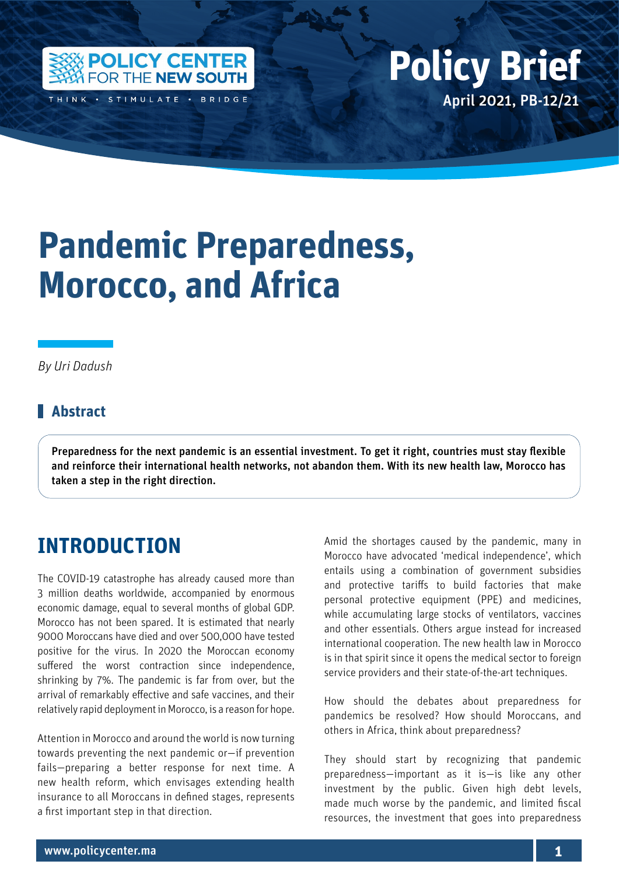

THINK · STIMULATE · BRIDGE

# Policy Center for the New South Policy British Policy British Policy British Policy British Policy British Policy British Policy British Policy British Policy British Policy British Policy British Policy British Policy Bri April 2021, PB-12/21 **Policy Brief**

# **Pandemic Preparedness, Morocco, and Africa**

*By Uri Dadush*

#### **Abstract**

Preparedness for the next pandemic is an essential investment. To get it right, countries must stay flexible and reinforce their international health networks, not abandon them. With its new health law, Morocco has taken a step in the right direction.

# **INTRODUCTION**

The COVID-19 catastrophe has already caused more than 3 million deaths worldwide, accompanied by enormous economic damage, equal to several months of global GDP. Morocco has not been spared. It is estimated that nearly 9000 Moroccans have died and over 500,000 have tested positive for the virus. In 2020 the Moroccan economy suffered the worst contraction since independence, shrinking by 7%. The pandemic is far from over, but the arrival of remarkably effective and safe vaccines, and their relatively rapid deployment in Morocco, is a reason for hope.

Attention in Morocco and around the world is now turning towards preventing the next pandemic or—if prevention fails—preparing a better response for next time. A new health reform, which envisages extending health insurance to all Moroccans in defined stages, represents a first important step in that direction.

Amid the shortages caused by the pandemic, many in Morocco have advocated 'medical independence', which entails using a combination of government subsidies and protective tariffs to build factories that make personal protective equipment (PPE) and medicines, while accumulating large stocks of ventilators, vaccines and other essentials. Others argue instead for increased international cooperation. The new health law in Morocco is in that spirit since it opens the medical sector to foreign service providers and their state-of-the-art techniques.

How should the debates about preparedness for pandemics be resolved? How should Moroccans, and others in Africa, think about preparedness?

They should start by recognizing that pandemic preparedness—important as it is—is like any other investment by the public. Given high debt levels, made much worse by the pandemic, and limited fiscal resources, the investment that goes into preparedness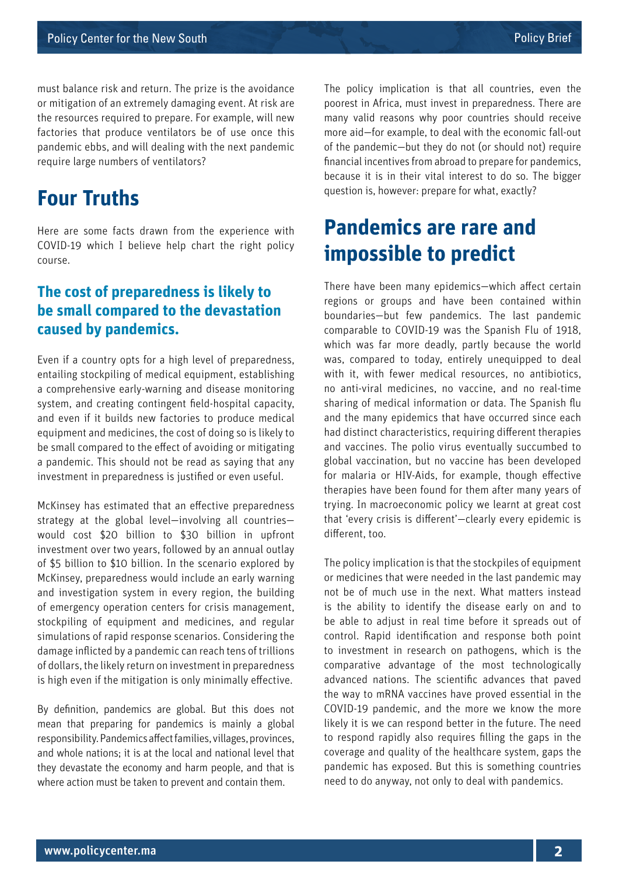must balance risk and return. The prize is the avoidance or mitigation of an extremely damaging event. At risk are the resources required to prepare. For example, will new factories that produce ventilators be of use once this pandemic ebbs, and will dealing with the next pandemic require large numbers of ventilators?

### **Four Truths**

Here are some facts drawn from the experience with COVID-19 which I believe help chart the right policy course.

#### **The cost of preparedness is likely to be small compared to the devastation caused by pandemics.**

Even if a country opts for a high level of preparedness, entailing stockpiling of medical equipment, establishing a comprehensive early-warning and disease monitoring system, and creating contingent field-hospital capacity, and even if it builds new factories to produce medical equipment and medicines, the cost of doing so is likely to be small compared to the effect of avoiding or mitigating a pandemic. This should not be read as saying that any investment in preparedness is justified or even useful.

McKinsey has estimated that an effective preparedness strategy at the global level—involving all countries would cost \$20 billion to \$30 billion in upfront investment over two years, followed by an annual outlay of \$5 billion to \$10 billion. In the scenario explored by McKinsey, preparedness would include an early warning and investigation system in every region, the building of emergency operation centers for crisis management, stockpiling of equipment and medicines, and regular simulations of rapid response scenarios. Considering the damage inflicted by a pandemic can reach tens of trillions of dollars, the likely return on investment in preparedness is high even if the mitigation is only minimally effective.

By definition, pandemics are global. But this does not mean that preparing for pandemics is mainly a global responsibility. Pandemics affect families, villages, provinces, and whole nations; it is at the local and national level that they devastate the economy and harm people, and that is where action must be taken to prevent and contain them.

The policy implication is that all countries, even the poorest in Africa, must invest in preparedness. There are many valid reasons why poor countries should receive more aid—for example, to deal with the economic fall-out of the pandemic—but they do not (or should not) require financial incentives from abroad to prepare for pandemics, because it is in their vital interest to do so. The bigger question is, however: prepare for what, exactly?

# **Pandemics are rare and impossible to predict**

There have been many epidemics—which affect certain regions or groups and have been contained within boundaries—but few pandemics. The last pandemic comparable to COVID-19 was the Spanish Flu of 1918, which was far more deadly, partly because the world was, compared to today, entirely unequipped to deal with it, with fewer medical resources, no antibiotics, no anti-viral medicines, no vaccine, and no real-time sharing of medical information or data. The Spanish flu and the many epidemics that have occurred since each had distinct characteristics, requiring different therapies and vaccines. The polio virus eventually succumbed to global vaccination, but no vaccine has been developed for malaria or HIV-Aids, for example, though effective therapies have been found for them after many years of trying. In macroeconomic policy we learnt at great cost that 'every crisis is different'—clearly every epidemic is different, too.

The policy implication is that the stockpiles of equipment or medicines that were needed in the last pandemic may not be of much use in the next. What matters instead is the ability to identify the disease early on and to be able to adjust in real time before it spreads out of control. Rapid identification and response both point to investment in research on pathogens, which is the comparative advantage of the most technologically advanced nations. The scientific advances that paved the way to mRNA vaccines have proved essential in the COVID-19 pandemic, and the more we know the more likely it is we can respond better in the future. The need to respond rapidly also requires filling the gaps in the coverage and quality of the healthcare system, gaps the pandemic has exposed. But this is something countries need to do anyway, not only to deal with pandemics.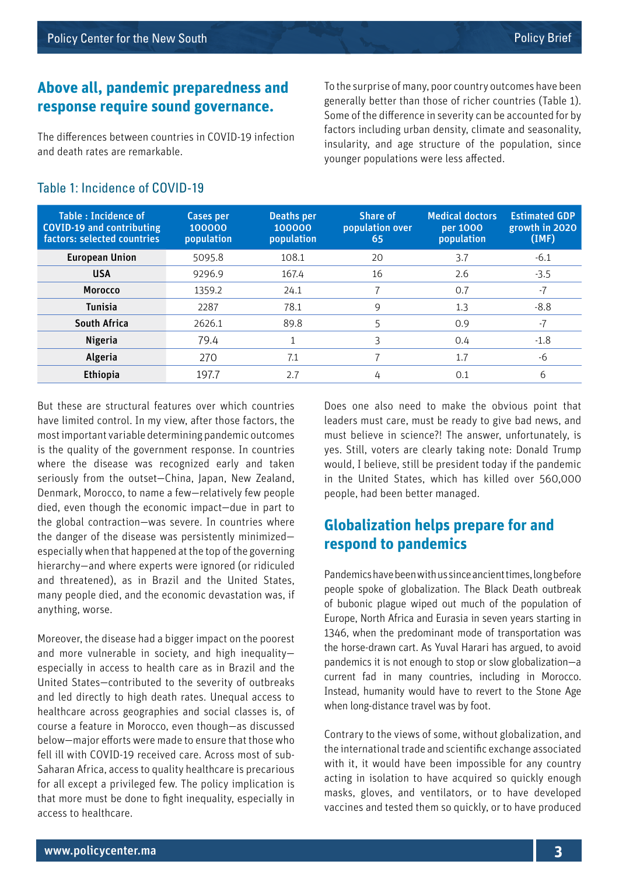#### **Above all, pandemic preparedness and response require sound governance.**

The differences between countries in COVID-19 infection and death rates are remarkable.

To the surprise of many, poor country outcomes have been generally better than those of richer countries (Table 1). Some of the difference in severity can be accounted for by factors including urban density, climate and seasonality, insularity, and age structure of the population, since younger populations were less affected.

#### Table 1: Incidence of COVID-19

Table : Incidence of COVID-19 and contributing factors: selected countries Cases per 100000 population Deaths per 100000 population Share of population over 65 Medical doctors per 1000 population Estimated GDP growth in 2020 (IMF) **European Union 5095.8 108.1 20 3.7 -6.1 USA** 9296.9 167.4 16 2.6 -3.5 **Morocco** 1359.2 24.1 7 0.7 -7 **Tunisia** 2287 78.1 9 1.3 3 8.8 **South Africa** 2626.1 89.8 5 0.9 -7 **Nigeria** 79.4  $1$  3 0.4  $-1.8$ **Algeria** 270 7.1 7 1.7 -6 **Ethiopia** 197.7 2.7 4 0.1 6

But these are structural features over which countries have limited control. In my view, after those factors, the most important variable determining pandemic outcomes is the quality of the government response. In countries where the disease was recognized early and taken seriously from the outset—China, Japan, New Zealand, Denmark, Morocco, to name a few—relatively few people died, even though the economic impact—due in part to the global contraction—was severe. In countries where the danger of the disease was persistently minimized especially when that happened at the top of the governing hierarchy—and where experts were ignored (or ridiculed and threatened), as in Brazil and the United States, many people died, and the economic devastation was, if anything, worse.

Moreover, the disease had a bigger impact on the poorest and more vulnerable in society, and high inequality especially in access to health care as in Brazil and the United States—contributed to the severity of outbreaks and led directly to high death rates. Unequal access to healthcare across geographies and social classes is, of course a feature in Morocco, even though—as discussed below—major efforts were made to ensure that those who fell ill with COVID-19 received care. Across most of sub-Saharan Africa, access to quality healthcare is precarious for all except a privileged few. The policy implication is that more must be done to fight inequality, especially in access to healthcare.

Does one also need to make the obvious point that leaders must care, must be ready to give bad news, and must believe in science?! The answer, unfortunately, is yes. Still, voters are clearly taking note: Donald Trump would, I believe, still be president today if the pandemic in the United States, which has killed over 560,000 people, had been better managed.

#### **Globalization helps prepare for and respond to pandemics**

Pandemics have been with us since ancient times, long before people spoke of globalization. The Black Death outbreak of bubonic plague wiped out much of the population of Europe, North Africa and Eurasia in seven years starting in 1346, when the predominant mode of transportation was the horse-drawn cart. As Yuval Harari has argued, to avoid pandemics it is not enough to stop or slow globalization—a current fad in many countries, including in Morocco. Instead, humanity would have to revert to the Stone Age when long-distance travel was by foot.

Contrary to the views of some, without globalization, and the international trade and scientific exchange associated with it, it would have been impossible for any country acting in isolation to have acquired so quickly enough masks, gloves, and ventilators, or to have developed vaccines and tested them so quickly, or to have produced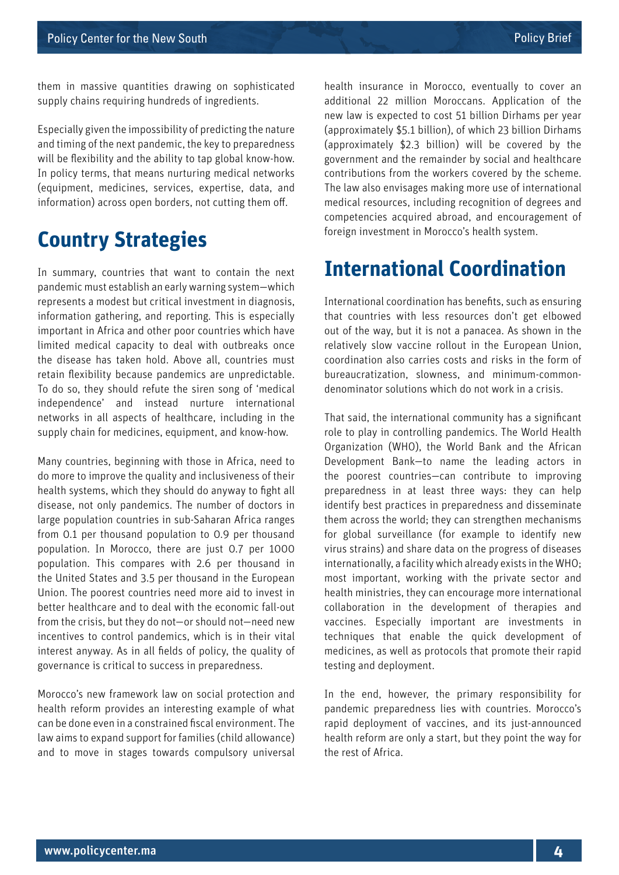them in massive quantities drawing on sophisticated supply chains requiring hundreds of ingredients.

Especially given the impossibility of predicting the nature and timing of the next pandemic, the key to preparedness will be flexibility and the ability to tap global know-how. In policy terms, that means nurturing medical networks (equipment, medicines, services, expertise, data, and information) across open borders, not cutting them off.

# **Country Strategies**

In summary, countries that want to contain the next pandemic must establish an early warning system—which represents a modest but critical investment in diagnosis, information gathering, and reporting. This is especially important in Africa and other poor countries which have limited medical capacity to deal with outbreaks once the disease has taken hold. Above all, countries must retain flexibility because pandemics are unpredictable. To do so, they should refute the siren song of 'medical independence' and instead nurture international networks in all aspects of healthcare, including in the supply chain for medicines, equipment, and know-how.

Many countries, beginning with those in Africa, need to do more to improve the quality and inclusiveness of their health systems, which they should do anyway to fight all disease, not only pandemics. The number of doctors in large population countries in sub-Saharan Africa ranges from 0.1 per thousand population to 0.9 per thousand population. In Morocco, there are just 0.7 per 1000 population. This compares with 2.6 per thousand in the United States and 3.5 per thousand in the European Union. The poorest countries need more aid to invest in better healthcare and to deal with the economic fall-out from the crisis, but they do not—or should not—need new incentives to control pandemics, which is in their vital interest anyway. As in all fields of policy, the quality of governance is critical to success in preparedness.

Morocco's new framework law on social protection and health reform provides an interesting example of what can be done even in a constrained fiscal environment. The law aims to expand support for families (child allowance) and to move in stages towards compulsory universal health insurance in Morocco, eventually to cover an additional 22 million Moroccans. Application of the new law is expected to cost 51 billion Dirhams per year (approximately \$5.1 billion), of which 23 billion Dirhams (approximately \$2.3 billion) will be covered by the government and the remainder by social and healthcare contributions from the workers covered by the scheme. The law also envisages making more use of international medical resources, including recognition of degrees and competencies acquired abroad, and encouragement of foreign investment in Morocco's health system.

### **International Coordination**

International coordination has benefits, such as ensuring that countries with less resources don't get elbowed out of the way, but it is not a panacea. As shown in the relatively slow vaccine rollout in the European Union, coordination also carries costs and risks in the form of bureaucratization, slowness, and minimum-commondenominator solutions which do not work in a crisis.

That said, the international community has a significant role to play in controlling pandemics. The World Health Organization (WHO), the World Bank and the African Development Bank—to name the leading actors in the poorest countries—can contribute to improving preparedness in at least three ways: they can help identify best practices in preparedness and disseminate them across the world; they can strengthen mechanisms for global surveillance (for example to identify new virus strains) and share data on the progress of diseases internationally, a facility which already exists in the WHO; most important, working with the private sector and health ministries, they can encourage more international collaboration in the development of therapies and vaccines. Especially important are investments in techniques that enable the quick development of medicines, as well as protocols that promote their rapid testing and deployment.

In the end, however, the primary responsibility for pandemic preparedness lies with countries. Morocco's rapid deployment of vaccines, and its just-announced health reform are only a start, but they point the way for the rest of Africa.